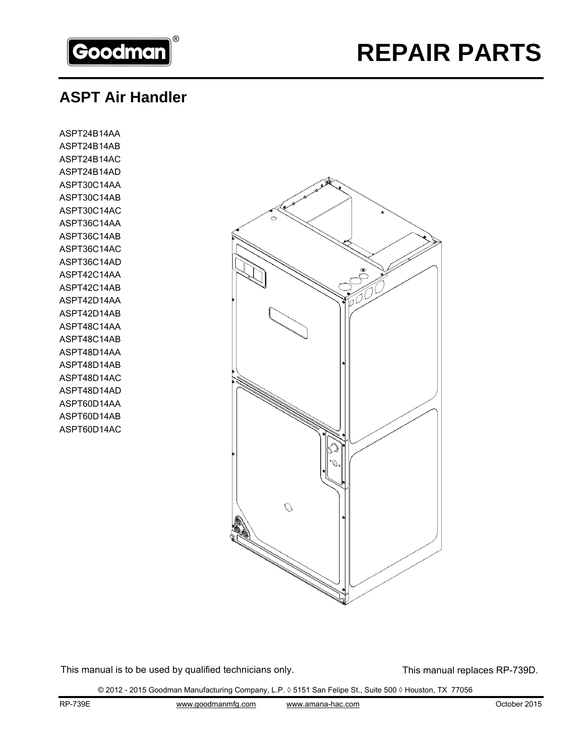

# **REPAIR PARTS**

### **ASPT Air Handler**

ASPT24B14AA ASPT24B14AB ASPT24B14AC ASPT24B14AD ASPT30C14AA ASPT30C14AB ASPT30C14AC ASPT36C14AA ASPT36C14AB ASPT36C14AC ASPT36C14AD ASPT42C14AA ASPT42C14AB ASPT42D14AA ASPT42D14AB ASPT48C14AA ASPT48C14AB ASPT48D14AA ASPT48D14AB ASPT48D14AC ASPT48D14AD ASPT60D14AA ASPT60D14AB ASPT60D14AC



This manual is to be used by qualified technicians only. This manual replaces RP-739D.

© 2012 - 2015 Goodman Manufacturing Company, L.P. ◊ 5151 San Felipe St., Suite 500 ◊ Houston, TX 77056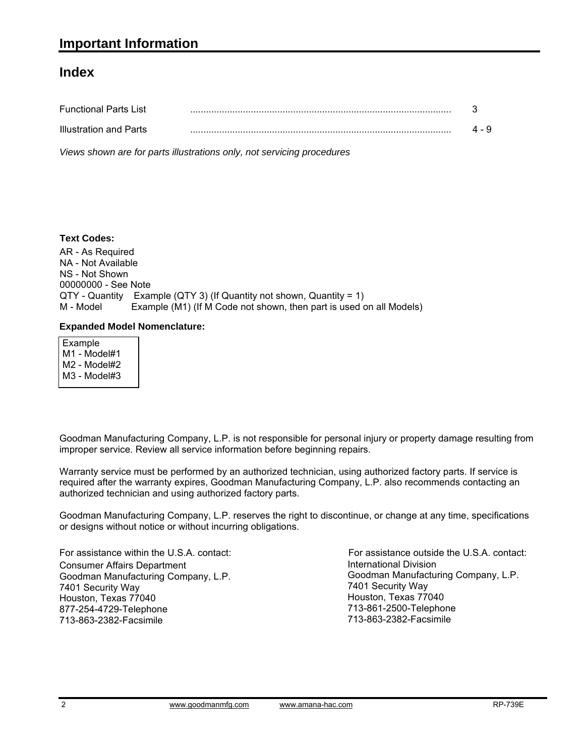#### **Index**

| <b>Functional Parts List</b> |       |
|------------------------------|-------|
| Illustration and Parts       | 4 - 9 |

*Views shown are for parts illustrations only, not servicing procedures*

#### **Text Codes:**

AR - As Required NA - Not Available NS - Not Shown 00000000 - See Note QTY - Quantity Example (QTY 3) (If Quantity not shown, Quantity = 1) M - Model Example (M1) (If M Code not shown, then part is used on all Models)

#### **Expanded Model Nomenclature:**

 Example M1 - Model#1 M2 - Model#2 M3 - Model#3

Goodman Manufacturing Company, L.P. is not responsible for personal injury or property damage resulting from improper service. Review all service information before beginning repairs.

Warranty service must be performed by an authorized technician, using authorized factory parts. If service is required after the warranty expires, Goodman Manufacturing Company, L.P. also recommends contacting an authorized technician and using authorized factory parts.

Goodman Manufacturing Company, L.P. reserves the right to discontinue, or change at any time, specifications or designs without notice or without incurring obligations.

For assistance within the U.S.A. contact: Consumer Affairs Department Goodman Manufacturing Company, L.P. 7401 Security Way Houston, Texas 77040 877-254-4729-Telephone 713-863-2382-Facsimile

International Division International Division<br>Goodman Manufacturing Company, L.P. 7401 Security Way Houston, Texas 77040 713-861-2500-Telephone 713-863-2382-Facsimile For assistance outside the U.S.A. contact: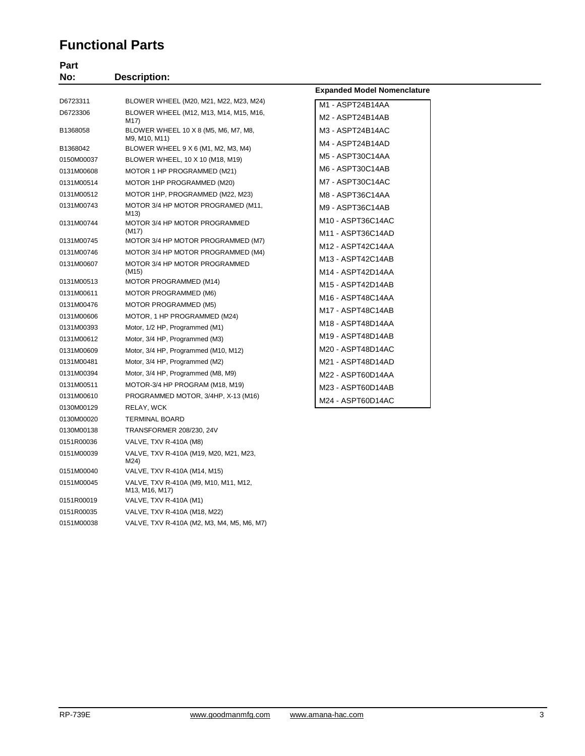#### **Functional Parts**

| Part       |                                                         |                                            |
|------------|---------------------------------------------------------|--------------------------------------------|
| No:        | <b>Description:</b>                                     |                                            |
|            |                                                         | <b>Expanded Model Nomenclature</b>         |
| D6723311   | BLOWER WHEEL (M20, M21, M22, M23, M24)                  | M1 - ASPT24B14AA                           |
| D6723306   | BLOWER WHEEL (M12, M13, M14, M15, M16,<br>M17)          | M2 - ASPT24B14AB                           |
| B1368058   | BLOWER WHEEL 10 X 8 (M5, M6, M7, M8,<br>M9, M10, M11)   | M3 - ASPT24B14AC                           |
| B1368042   | BLOWER WHEEL 9 X 6 (M1, M2, M3, M4)                     | M4 - ASPT24B14AD                           |
| 0150M00037 | BLOWER WHEEL, 10 X 10 (M18, M19)                        | M5 - ASPT30C14AA                           |
| 0131M00608 | MOTOR 1 HP PROGRAMMED (M21)                             | M6 - ASPT30C14AB                           |
| 0131M00514 | MOTOR 1HP PROGRAMMED (M20)                              | M7 - ASPT30C14AC                           |
| 0131M00512 | MOTOR 1HP, PROGRAMMED (M22, M23)                        | M8 - ASPT36C14AA                           |
| 0131M00743 | MOTOR 3/4 HP MOTOR PROGRAMED (M11,<br>M13)              | M9 - ASPT36C14AB                           |
| 0131M00744 | MOTOR 3/4 HP MOTOR PROGRAMMED                           | M <sub>10</sub> - ASPT36C <sub>14</sub> AC |
|            | (M17)                                                   | M11 - ASPT36C14AD                          |
| 0131M00745 | MOTOR 3/4 HP MOTOR PROGRAMMED (M7)                      | M12 - ASPT42C14AA                          |
| 0131M00746 | MOTOR 3/4 HP MOTOR PROGRAMMED (M4)                      | M13 - ASPT42C14AB                          |
| 0131M00607 | MOTOR 3/4 HP MOTOR PROGRAMMED<br>(M15)                  | M14 - ASPT42D14AA                          |
| 0131M00513 | MOTOR PROGRAMMED (M14)                                  | M15 - ASPT42D14AB                          |
| 0131M00611 | MOTOR PROGRAMMED (M6)                                   | M16 - ASPT48C14AA                          |
| 0131M00476 | MOTOR PROGRAMMED (M5)                                   | M17 - ASPT48C14AB                          |
| 0131M00606 | MOTOR, 1 HP PROGRAMMED (M24)                            | M18 - ASPT48D14AA                          |
| 0131M00393 | Motor, 1/2 HP, Programmed (M1)                          |                                            |
| 0131M00612 | Motor, 3/4 HP, Programmed (M3)                          | M19 - ASPT48D14AB                          |
| 0131M00609 | Motor, 3/4 HP, Programmed (M10, M12)                    | M20 - ASPT48D14AC                          |
| 0131M00481 | Motor, 3/4 HP, Programmed (M2)                          | M21 - ASPT48D14AD                          |
| 0131M00394 | Motor, 3/4 HP, Programmed (M8, M9)                      | M22 - ASPT60D14AA                          |
| 0131M00511 | MOTOR-3/4 HP PROGRAM (M18, M19)                         | M23 - ASPT60D14AB                          |
| 0131M00610 | PROGRAMMED MOTOR, 3/4HP, X-13 (M16)                     | M24 - ASPT60D14AC                          |
| 0130M00129 | RELAY, WCK                                              |                                            |
| 0130M00020 | <b>TERMINAL BOARD</b>                                   |                                            |
| 0130M00138 | TRANSFORMER 208/230, 24V                                |                                            |
| 0151R00036 | VALVE, TXV R-410A (M8)                                  |                                            |
| 0151M00039 | VALVE, TXV R-410A (M19, M20, M21, M23,<br>M24)          |                                            |
| 0151M00040 | VALVE, TXV R-410A (M14, M15)                            |                                            |
| 0151M00045 | VALVE, TXV R-410A (M9, M10, M11, M12,<br>M13, M16, M17) |                                            |
| 0151R00019 | VALVE, TXV R-410A (M1)                                  |                                            |
| 0151R00035 | VALVE, TXV R-410A (M18, M22)                            |                                            |

0151M00038 VALVE, TXV R-410A (M2, M3, M4, M5, M6, M7)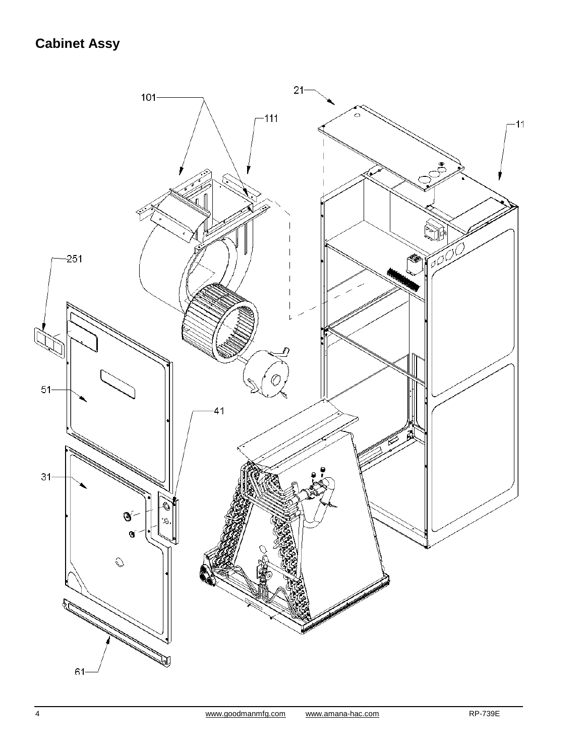## **Cabinet Assy**

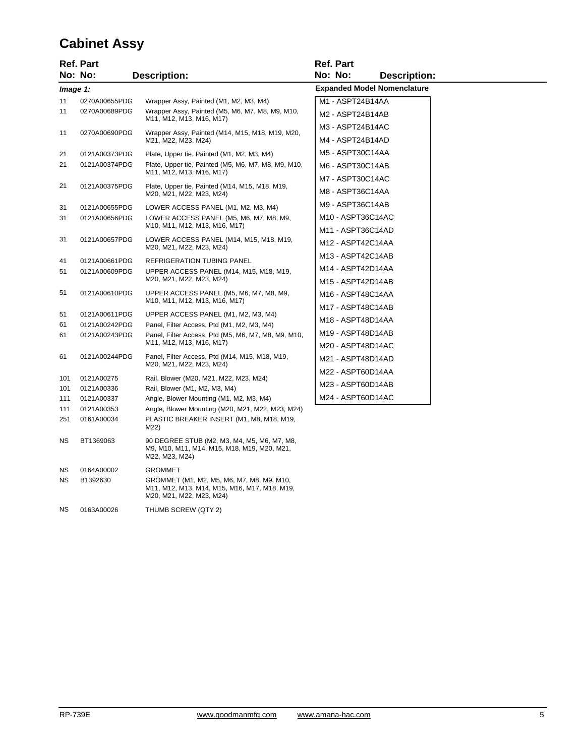#### **Cabinet Assy**

|           | <b>Ref. Part</b> |                                                                                                              | <b>Ref. Part</b>                     |
|-----------|------------------|--------------------------------------------------------------------------------------------------------------|--------------------------------------|
|           | No: No:          | <b>Description:</b>                                                                                          | No: No:<br><b>Description:</b>       |
|           | Image 1:         |                                                                                                              | <b>Expanded Model Nomenclature</b>   |
| 11        | 0270A00655PDG    | Wrapper Assy, Painted (M1, M2, M3, M4)                                                                       | M1 - ASPT24B14AA                     |
| 11        | 0270A00689PDG    | Wrapper Assy, Painted (M5, M6, M7, M8, M9, M10,<br>M11, M12, M13, M16, M17)                                  | M2 - ASPT24B14AB                     |
| 11        | 0270A00690PDG    | Wrapper Assy, Painted (M14, M15, M18, M19, M20,<br>M21, M22, M23, M24)                                       | M3 - ASPT24B14AC<br>M4 - ASPT24B14AD |
| 21        | 0121A00373PDG    | Plate, Upper tie, Painted (M1, M2, M3, M4)                                                                   | M5 - ASPT30C14AA                     |
| 21        | 0121A00374PDG    | Plate, Upper tie, Painted (M5, M6, M7, M8, M9, M10,<br>M11, M12, M13, M16, M17)                              | M6 - ASPT30C14AB                     |
|           |                  |                                                                                                              | M7 - ASPT30C14AC                     |
| 21        | 0121A00375PDG    | Plate, Upper tie, Painted (M14, M15, M18, M19,<br>M20, M21, M22, M23, M24)                                   | M8 - ASPT36C14AA                     |
| 31        | 0121A00655PDG    | LOWER ACCESS PANEL (M1, M2, M3, M4)                                                                          | M9 - ASPT36C14AB                     |
| 31        | 0121A00656PDG    | LOWER ACCESS PANEL (M5, M6, M7, M8, M9,                                                                      | M10 - ASPT36C14AC                    |
|           |                  | M10, M11, M12, M13, M16, M17)                                                                                | M11 - ASPT36C14AD                    |
| 31        | 0121A00657PDG    | LOWER ACCESS PANEL (M14, M15, M18, M19,<br>M20, M21, M22, M23, M24)                                          | M12 - ASPT42C14AA                    |
| 41        | 0121A00661PDG    | <b>REFRIGERATION TUBING PANEL</b>                                                                            | M13 - ASPT42C14AB                    |
| 51        | 0121A00609PDG    | UPPER ACCESS PANEL (M14, M15, M18, M19,                                                                      | M14 - ASPT42D14AA                    |
|           |                  | M20, M21, M22, M23, M24)                                                                                     | M15 - ASPT42D14AB                    |
| 51        | 0121A00610PDG    | UPPER ACCESS PANEL (M5, M6, M7, M8, M9,<br>M10, M11, M12, M13, M16, M17)                                     | M16 - ASPT48C14AA                    |
|           |                  |                                                                                                              | M17 - ASPT48C14AB                    |
| 51        | 0121A00611PDG    | UPPER ACCESS PANEL (M1, M2, M3, M4)                                                                          | M18 - ASPT48D14AA                    |
| 61        | 0121A00242PDG    | Panel, Filter Access, Ptd (M1, M2, M3, M4)                                                                   |                                      |
| 61        | 0121A00243PDG    | Panel, Filter Access, Ptd (M5, M6, M7, M8, M9, M10,<br>M11, M12, M13, M16, M17)                              | M19 - ASPT48D14AB                    |
|           |                  |                                                                                                              | M20 - ASPT48D14AC                    |
| 61        | 0121A00244PDG    | Panel, Filter Access, Ptd (M14, M15, M18, M19,<br>M20, M21, M22, M23, M24)                                   | M21 - ASPT48D14AD                    |
| 101       | 0121A00275       | Rail, Blower (M20, M21, M22, M23, M24)                                                                       | M22 - ASPT60D14AA                    |
| 101       | 0121A00336       | Rail, Blower (M1, M2, M3, M4)                                                                                | M23 - ASPT60D14AB                    |
| 111       | 0121A00337       | Angle, Blower Mounting (M1, M2, M3, M4)                                                                      | M24 - ASPT60D14AC                    |
| 111       | 0121A00353       | Angle, Blower Mounting (M20, M21, M22, M23, M24)                                                             |                                      |
| 251       | 0161A00034       | PLASTIC BREAKER INSERT (M1, M8, M18, M19,<br>M22)                                                            |                                      |
| <b>NS</b> | BT1369063        | 90 DEGREE STUB (M2, M3, M4, M5, M6, M7, M8,<br>M9, M10, M11, M14, M15, M18, M19, M20, M21,<br>M22, M23, M24) |                                      |

GROMMET (M1, M2, M5, M6, M7, M8, M9, M10, M11, M12, M13, M14, M15, M16, M17, M18, M19,

M20, M21, M22, M23, M24)

NS 0164A00002 GROMMET

NS 0163A00026 THUMB SCREW (QTY 2)

NS B1392630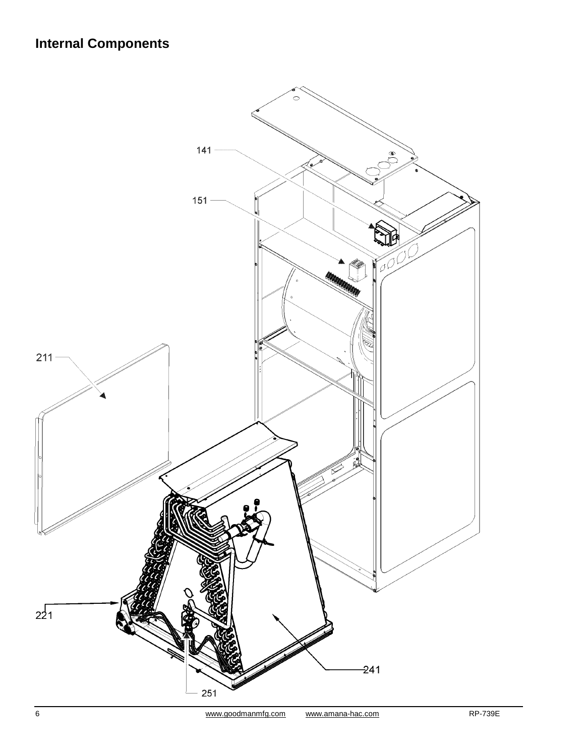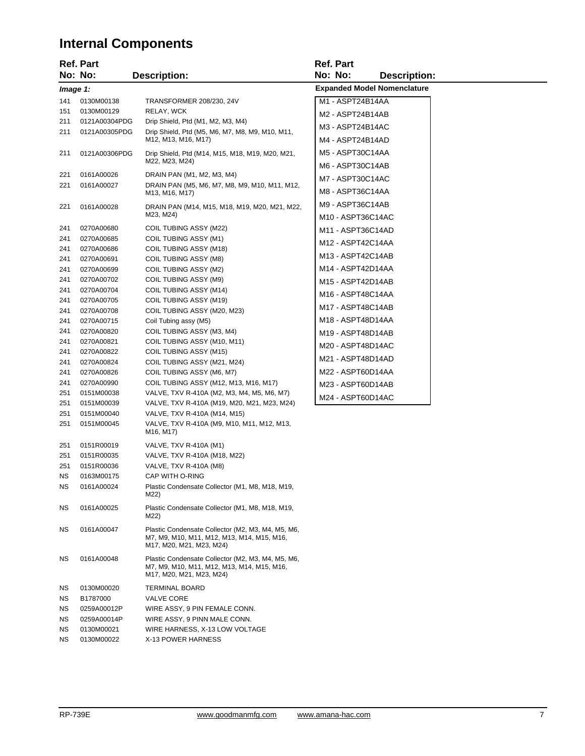### **Internal Components**

|            | Ref. Part                |                                                                                                                             | <b>Ref. Part</b>                   |
|------------|--------------------------|-----------------------------------------------------------------------------------------------------------------------------|------------------------------------|
|            | No: No:                  | <b>Description:</b>                                                                                                         | No: No:<br>Description:            |
|            | Image 1:                 |                                                                                                                             | <b>Expanded Model Nomenclature</b> |
| 141        | 0130M00138               | TRANSFORMER 208/230, 24V                                                                                                    | M1 - ASPT24B14AA                   |
| 151        | 0130M00129               | RELAY, WCK                                                                                                                  | M2 - ASPT24B14AB                   |
| 211        | 0121A00304PDG            | Drip Shield, Ptd (M1, M2, M3, M4)                                                                                           |                                    |
| 211        | 0121A00305PDG            | Drip Shield, Ptd (M5, M6, M7, M8, M9, M10, M11,                                                                             | M3 - ASPT24B14AC                   |
|            |                          | M12, M13, M16, M17)                                                                                                         | M4 - ASPT24B14AD                   |
| 211        | 0121A00306PDG            | Drip Shield, Ptd (M14, M15, M18, M19, M20, M21,<br>M22, M23, M24)                                                           | M5 - ASPT30C14AA                   |
|            |                          |                                                                                                                             | M6 - ASPT30C14AB                   |
| 221        | 0161A00026               | DRAIN PAN (M1, M2, M3, M4)                                                                                                  | M7 - ASPT30C14AC                   |
| 221        | 0161A00027               | DRAIN PAN (M5, M6, M7, M8, M9, M10, M11, M12,<br>M13, M16, M17)                                                             | M8 - ASPT36C14AA                   |
| 221        | 0161A00028               | DRAIN PAN (M14, M15, M18, M19, M20, M21, M22,                                                                               | M9 - ASPT36C14AB                   |
|            |                          | M23, M24)                                                                                                                   | M10 - ASPT36C14AC                  |
| 241        | 0270A00680               | COIL TUBING ASSY (M22)                                                                                                      | M11 - ASPT36C14AD                  |
| 241        | 0270A00685               | COIL TUBING ASSY (M1)                                                                                                       | M12 - ASPT42C14AA                  |
| 241        | 0270A00686               | COIL TUBING ASSY (M18)                                                                                                      |                                    |
| 241        | 0270A00691               | COIL TUBING ASSY (M8)                                                                                                       | M13 - ASPT42C14AB                  |
| 241        | 0270A00699               | COIL TUBING ASSY (M2)                                                                                                       | M14 - ASPT42D14AA                  |
| 241        | 0270A00702               | COIL TUBING ASSY (M9)                                                                                                       | M15 - ASPT42D14AB                  |
| 241        | 0270A00704               | COIL TUBING ASSY (M14)                                                                                                      | M16 - ASPT48C14AA                  |
| 241        | 0270A00705               | COIL TUBING ASSY (M19)                                                                                                      | M17 - ASPT48C14AB                  |
| 241        | 0270A00708               | COIL TUBING ASSY (M20, M23)                                                                                                 |                                    |
| 241        | 0270A00715               | Coil Tubing assy (M5)                                                                                                       | M18 - ASPT48D14AA                  |
| 241        | 0270A00820               | COIL TUBING ASSY (M3, M4)                                                                                                   | M19 - ASPT48D14AB                  |
| 241        | 0270A00821               | COIL TUBING ASSY (M10, M11)                                                                                                 | M20 - ASPT48D14AC                  |
| 241        | 0270A00822               | COIL TUBING ASSY (M15)                                                                                                      | M21 - ASPT48D14AD                  |
| 241        | 0270A00824               | COIL TUBING ASSY (M21, M24)                                                                                                 | M22 - ASPT60D14AA                  |
| 241<br>241 | 0270A00826               | COIL TUBING ASSY (M6, M7)                                                                                                   |                                    |
| 251        | 0270A00990<br>0151M00038 | COIL TUBING ASSY (M12, M13, M16, M17)<br>VALVE, TXV R-410A (M2, M3, M4, M5, M6, M7)                                         | M23 - ASPT60D14AB                  |
| 251        | 0151M00039               | VALVE, TXV R-410A (M19, M20, M21, M23, M24)                                                                                 | M24 - ASPT60D14AC                  |
| 251        | 0151M00040               | VALVE, TXV R-410A (M14, M15)                                                                                                |                                    |
| 251        | 0151M00045               | VALVE, TXV R-410A (M9, M10, M11, M12, M13,                                                                                  |                                    |
|            |                          | M <sub>16</sub> , M <sub>17</sub> )                                                                                         |                                    |
| 251        | 0151R00019               | VALVE, TXV R-410A (M1)                                                                                                      |                                    |
| 251        | 0151R00035               | VALVE, TXV R-410A (M18, M22)                                                                                                |                                    |
| 251        | 0151R00036               | VALVE, TXV R-410A (M8)                                                                                                      |                                    |
| ΝS         | 0163M00175               | CAP WITH O-RING                                                                                                             |                                    |
| ΝS         | 0161A00024               | Plastic Condensate Collector (M1, M8, M18, M19,<br>M22)                                                                     |                                    |
| ΝS         | 0161A00025               | Plastic Condensate Collector (M1, M8, M18, M19,<br>M22)                                                                     |                                    |
| ΝS         | 0161A00047               | Plastic Condensate Collector (M2, M3, M4, M5, M6,<br>M7, M9, M10, M11, M12, M13, M14, M15, M16,<br>M17, M20, M21, M23, M24) |                                    |
| ΝS         | 0161A00048               | Plastic Condensate Collector (M2, M3, M4, M5, M6,<br>M7, M9, M10, M11, M12, M13, M14, M15, M16,<br>M17, M20, M21, M23, M24) |                                    |
| ΝS         | 0130M00020               | <b>TERMINAL BOARD</b>                                                                                                       |                                    |
| ΝS         | B1787000                 | <b>VALVE CORE</b>                                                                                                           |                                    |
| ΝS         | 0259A00012P              | WIRE ASSY, 9 PIN FEMALE CONN.                                                                                               |                                    |
| ΝS         | 0259A00014P              | WIRE ASSY, 9 PINN MALE CONN.                                                                                                |                                    |
| ΝS         | 0130M00021               | WIRE HARNESS, X-13 LOW VOLTAGE                                                                                              |                                    |
| ΝS         | 0130M00022               | X-13 POWER HARNESS                                                                                                          |                                    |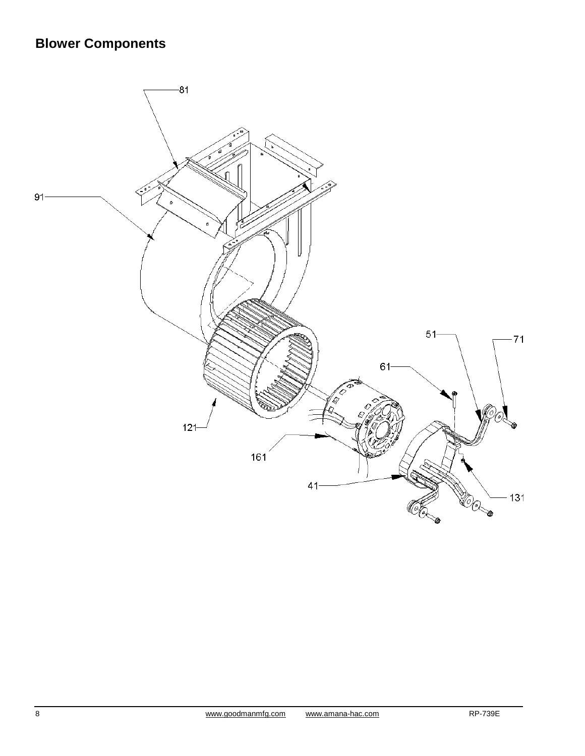## **Blower Components**